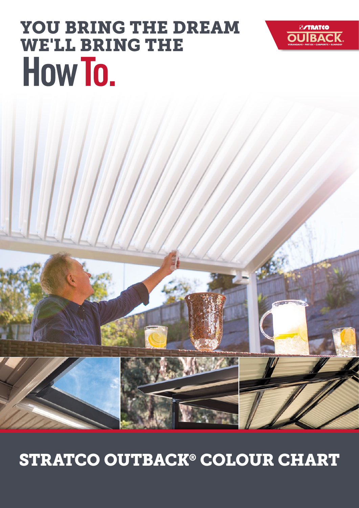# STRATCO OUTBACK® COLOUR CHART



YOU BRING THE DREAM

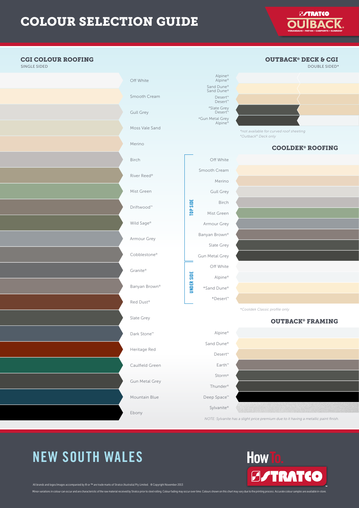**E/TRATCO OURA** 

#### **CGI COLOUR ROOFING CGI COLOUR ROOFING**<br>SINGLE SIDED OUTBACK® DECK & CGI SINGLE SIDED DOUBLE SIDED\* DOUBLE SIDED\* DOUBLE SIDED\* DOUBLE SIDED\* DOUBLE SIDED\* DOUBLE SIDED\* DOUBLE SIDED\* Alpine® Alpine® Off White Sand Dune® Sand Dune® Smooth Cream Desert™ Desert™ #Slate Grey Desert™ Gull Grey #Gun Metal Grey Alpine® Moss Vale Sand *\*not available for curved roof sheeting #Outback® Deck only* Merino COOLDEK® ROOFING Off White Birch Smooth Cream River Reed® Merino Mist Green Gull Grey TOP SIDE UNDER SIDE TOP SIDE Birch Driftwood™ Mist Green Wild Sage® Armour Grey Banyan Brown® Armour Grey Slate Grey Cobblestone® Gun Metal Grey Off White Granite® **UNDER SIDE** Alpine® Banyan Brown® \*Sand Dune® \*Desert™ Red Dust® *\*Cooldek Classic profi le only* Slate Grey OUTBACK® FRAMING Dark Stone™ Alpine® Sand Dune® Heritage Red Desert™ Caulfield Green Earth™ Storm® Gun Metal Grey Thunder® Mountain Blue Deep Space™ Sylvanite® Ebony *NOTE: Sylvanite has a slight price premium due to it having a metallic paint finish.*

### NEW SOUTH WALES 1300 155 155

Minor variations in colour can occur and are characteristic of the raw material received by Stratco prior to steel rolling. Colour fading may occur over time. Colours shown on this chart may vary due to the printing proces All brands and logos/images accompanied by ® or ™ are trade marks of Stratco (Australia) Pty Limited. ® Copyright November 2013

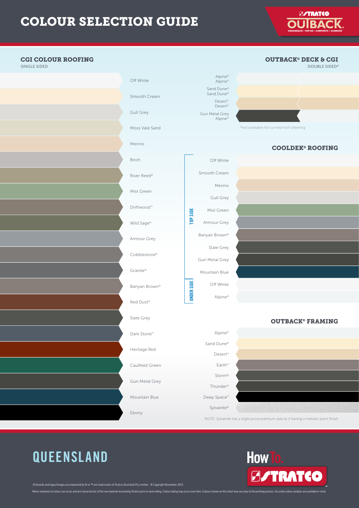**E/TRATCO OURA** 



How To.

**B/TRATCO** 

### **QUEENSLAND** 1300 155 155

All brands and logos/images accompanied by ® or ™ are trade marks of Stratco (Australia) Pty Limited. ® Copyright November 2013

Minor variations in colour can occur and are characteristic of the raw material received by Stratco prior to steel rolling. Colour fading may occur over time. Colours shown on this chart may vary due to the printing proces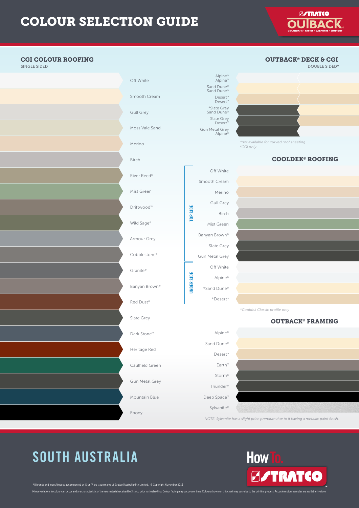**E/TRATCO OURA** 

#### **CGI COLOUR ROOFING CGI COLOUR ROOFING**<br>SINGLE SIDED OUTBACK® DECK & CGI SINGLE SIDED DOUBLE SIDED\* DOUBLE SIDED\* DOUBLE SIDED\* DOUBLE SIDED\* DOUBLE SIDED\* DOUBLE SIDED\* DOUBLE SIDED\* Alpine® Alpine® Off White Sand Dune® Sand Dune® Smooth Cream Desert™ Desert™ #Slate Grey Sand Dune® Gull Grey Slate Grey Desert™ Moss Vale Sand Gun Metal Grey Alpine® *\*not available for curved roof sheeting* Merino *#CGI only* COOLDEK® ROOFING Birch Off White River Reed® Smooth Cream Mist Green Merino Gull Grey SIDE Driftwood™ UNDER SIDE TOP SIDE Birch FOP: Wild Sage® Mist Green Banyan Brown® Armour Grey Slate Grey Cobblestone® Gun Metal Grey Off White Granite® **JNDER SIDE** Alpine® Banyan Brown® \*Sand Dune® \*Desert™ Red Dust® *\*Cooldek Classic profi le only* Slate Grey OUTBACK® FRAMING Dark Stone™ Alpine® Sand Dune® Heritage Red Desert™ Caulfield Green Earth™ Storm® Gun Metal Grey Thunder® Mountain Blue Deep Space™ Sylvanite® Ebony *NOTE: Sylvanite has a slight price premium due to it having a metallic paint finish.*

### SOUTH AUSTRALIA 11<del>00 155 155 155 155</del>

Minor variations in colour can occur and are characteristic of the raw material received by Stratco prior to steel rolling. Colour fading may occur over time. Colours shown on this chart may vary due to the printing proces All brands and logos/images accompanied by ® or ™ are trade marks of Stratco (Australia) Pty Limited. ® Copyright November 2013

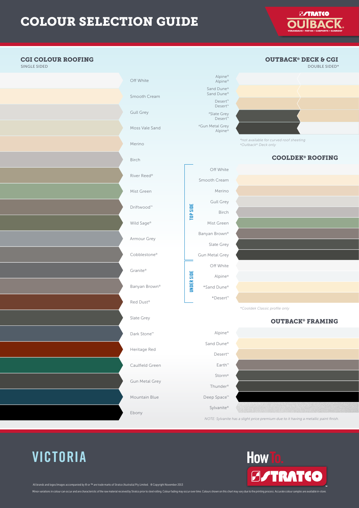**ESTRATCO OURA** 



How To.

**B/TRATCO** 

### **VICTORIA** 1300 155 155

All brands and logos/images accompanied by ® or ™ are trade marks of Stratco (Australia) Pty Limited. ® Copyright November 2013

Minor variations in colour can occur and are characteristic of the raw material received by Stratco prior to steel rolling. Colour fading may occur over time. Colours shown on this chart may vary due to the printing proces